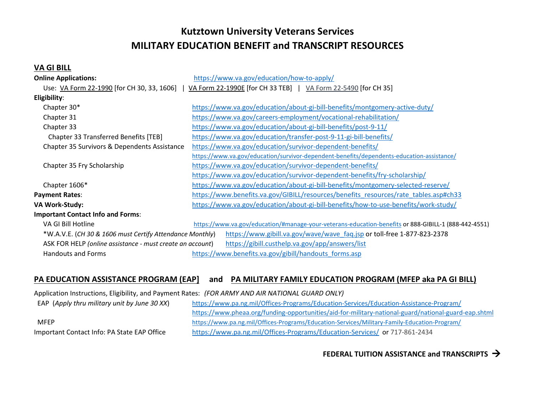# **Kutztown University Veterans Services MILITARY EDUCATION BENEFIT and TRANSCRIPT RESOURCES**

## **VA GI BILL**

| <b>Online Applications:</b>                               | https://www.va.gov/education/how-to-apply/                                                           |
|-----------------------------------------------------------|------------------------------------------------------------------------------------------------------|
| Use: VA Form 22-1990 [for CH 30, 33, 1606]                | VA Form 22-1990E [for CH 33 TEB]   VA Form 22-5490 [for CH 35]                                       |
| Eligibility:                                              |                                                                                                      |
| Chapter 30*                                               | https://www.va.gov/education/about-gi-bill-benefits/montgomery-active-duty/                          |
| Chapter 31                                                | https://www.va.gov/careers-employment/vocational-rehabilitation/                                     |
| Chapter 33                                                | https://www.va.gov/education/about-gi-bill-benefits/post-9-11/                                       |
| Chapter 33 Transferred Benefits [TEB]                     | https://www.va.gov/education/transfer-post-9-11-gi-bill-benefits/                                    |
| Chapter 35 Survivors & Dependents Assistance              | https://www.va.gov/education/survivor-dependent-benefits/                                            |
|                                                           | https://www.va.gov/education/survivor-dependent-benefits/dependents-education-assistance/            |
| Chapter 35 Fry Scholarship                                | https://www.va.gov/education/survivor-dependent-benefits/                                            |
|                                                           | https://www.va.gov/education/survivor-dependent-benefits/fry-scholarship/                            |
| Chapter 1606*                                             | https://www.va.gov/education/about-gi-bill-benefits/montgomery-selected-reserve/                     |
| <b>Payment Rates:</b>                                     | https://www.benefits.va.gov/GIBILL/resources/benefits resources/rate tables.asp#ch33                 |
| <b>VA Work-Study:</b>                                     | https://www.va.gov/education/about-gi-bill-benefits/how-to-use-benefits/work-study/                  |
| <b>Important Contact Info and Forms:</b>                  |                                                                                                      |
| VA GI Bill Hotline                                        | https://www.va.gov/education/#manage-your-veterans-education-benefits or 888-GIBILL-1 (888-442-4551) |
| *W.A.V.E. (CH 30 & 1606 must Certify Attendance Monthly)  | https://www.gibill.va.gov/wave/wave_faq.jsp or toll-free 1-877-823-2378                              |
| ASK FOR HELP (online assistance - must create an account) | https://gibill.custhelp.va.gov/app/answers/list                                                      |
| <b>Handouts and Forms</b>                                 | https://www.benefits.va.gov/gibill/handouts forms.asp                                                |

# **PA EDUCATION ASSISTANCE PROGRAM (EAP] and PA MILITARY FAMILY EDUCATION PROGRAM (MFEP aka PA GI BILL)**

Application Instructions, Eligibility, and Payment Rates: *(FOR ARMY AND AIR NATIONAL GUARD ONLY)*

| EAP (Apply thru military unit by June 30 XX) | https://www.pa.ng.mil/Offices-Programs/Education-Services/Education-Assistance-Program/              |
|----------------------------------------------|------------------------------------------------------------------------------------------------------|
|                                              | https://www.pheaa.org/funding-opportunities/aid-for-military-national-guard/national-guard-eap.shtml |
| MFFP                                         | https://www.pa.ng.mil/Offices-Programs/Education-Services/Military-Family-Education-Program/         |
| Important Contact Info: PA State EAP Office  | https://www.pa.ng.mil/Offices-Programs/Education-Services/ or 717-861-2434                           |

**FEDERAL TUITION ASSISTANCE and TRANSCRIPTS**